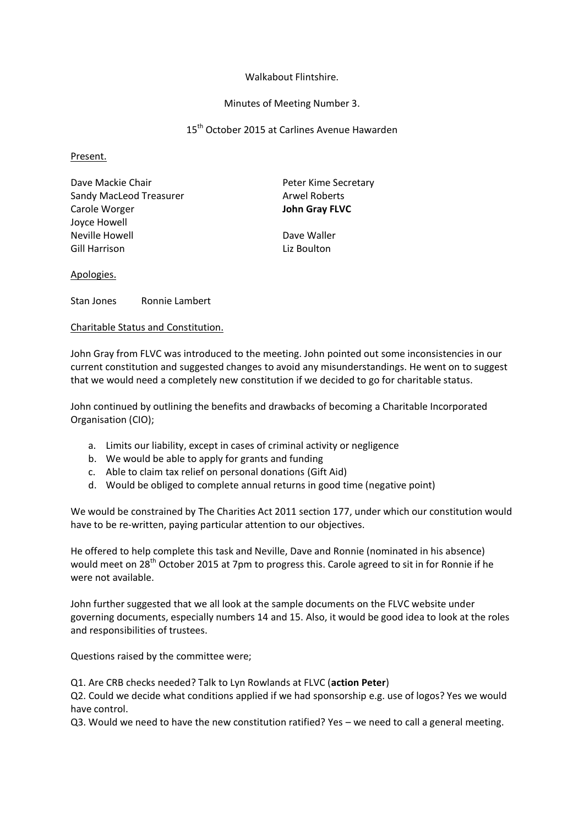# Walkabout Flintshire.

# Minutes of Meeting Number 3.

# 15<sup>th</sup> October 2015 at Carlines Avenue Hawarden

Present.

| Dave Mackie Chair                               | Peter Kime Secretary       |
|-------------------------------------------------|----------------------------|
| Sandy MacLeod Treasurer                         | <b>Arwel Roberts</b>       |
| Carole Worger                                   | John Gray FLVC             |
| Joyce Howell<br>Neville Howell<br>Gill Harrison | Dave Waller<br>Liz Boulton |

# Apologies.

Stan Jones Ronnie Lambert

## Charitable Status and Constitution.

John Gray from FLVC was introduced to the meeting. John pointed out some inconsistencies in our current constitution and suggested changes to avoid any misunderstandings. He went on to suggest that we would need a completely new constitution if we decided to go for charitable status.

John continued by outlining the benefits and drawbacks of becoming a Charitable Incorporated Organisation (CIO);

- a. Limits our liability, except in cases of criminal activity or negligence
- b. We would be able to apply for grants and funding
- c. Able to claim tax relief on personal donations (Gift Aid)
- d. Would be obliged to complete annual returns in good time (negative point)

We would be constrained by The Charities Act 2011 section 177, under which our constitution would have to be re-written, paying particular attention to our objectives.

He offered to help complete this task and Neville, Dave and Ronnie (nominated in his absence) would meet on 28<sup>th</sup> October 2015 at 7pm to progress this. Carole agreed to sit in for Ronnie if he were not available.

John further suggested that we all look at the sample documents on the FLVC website under governing documents, especially numbers 14 and 15. Also, it would be good idea to look at the roles and responsibilities of trustees.

Questions raised by the committee were;

Q1. Are CRB checks needed? Talk to Lyn Rowlands at FLVC (**action Peter**)

Q2. Could we decide what conditions applied if we had sponsorship e.g. use of logos? Yes we would have control.

Q3. Would we need to have the new constitution ratified? Yes – we need to call a general meeting.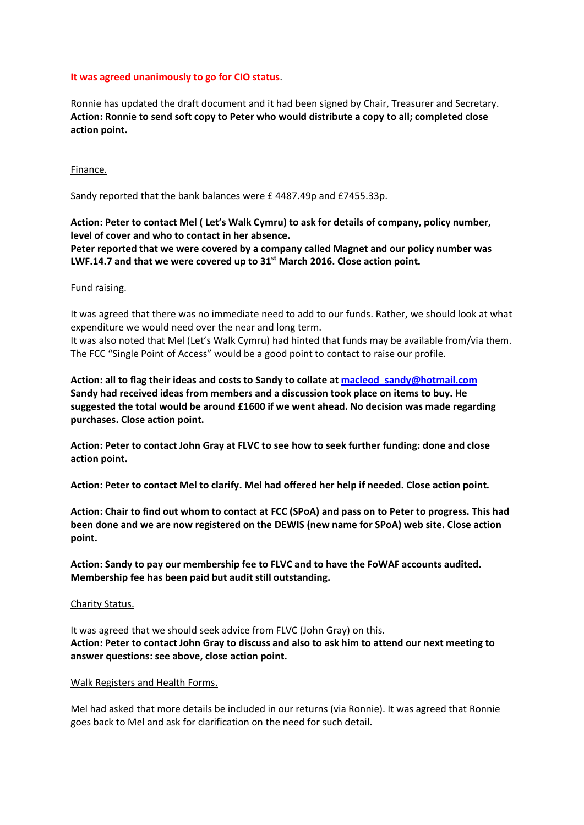# **It was agreed unanimously to go for CIO status**.

Ronnie has updated the draft document and it had been signed by Chair, Treasurer and Secretary. **Action: Ronnie to send soft copy to Peter who would distribute a copy to all; completed close action point.**

## Finance.

Sandy reported that the bank balances were £ 4487.49p and £7455.33p.

# **Action: Peter to contact Mel ( Let's Walk Cymru) to ask for details of company, policy number, level of cover and who to contact in her absence.**

**Peter reported that we were covered by a company called Magnet and our policy number was LWF.14.7 and that we were covered up to 31st March 2016. Close action point.**

## Fund raising.

It was agreed that there was no immediate need to add to our funds. Rather, we should look at what expenditure we would need over the near and long term.

It was also noted that Mel (Let's Walk Cymru) had hinted that funds may be available from/via them. The FCC "Single Point of Access" would be a good point to contact to raise our profile.

**Action: all to flag their ideas and costs to Sandy to collate a[t macleod\\_sandy@hotmail.com](mailto:macleod_sandy@hotmail.com) Sandy had received ideas from members and a discussion took place on items to buy. He suggested the total would be around £1600 if we went ahead. No decision was made regarding purchases. Close action point.**

**Action: Peter to contact John Gray at FLVC to see how to seek further funding: done and close action point.**

**Action: Peter to contact Mel to clarify. Mel had offered her help if needed. Close action point.**

**Action: Chair to find out whom to contact at FCC (SPoA) and pass on to Peter to progress. This had been done and we are now registered on the DEWIS (new name for SPoA) web site. Close action point.**

**Action: Sandy to pay our membership fee to FLVC and to have the FoWAF accounts audited. Membership fee has been paid but audit still outstanding.**

#### Charity Status.

It was agreed that we should seek advice from FLVC (John Gray) on this. **Action: Peter to contact John Gray to discuss and also to ask him to attend our next meeting to answer questions: see above, close action point.**

### Walk Registers and Health Forms.

Mel had asked that more details be included in our returns (via Ronnie). It was agreed that Ronnie goes back to Mel and ask for clarification on the need for such detail.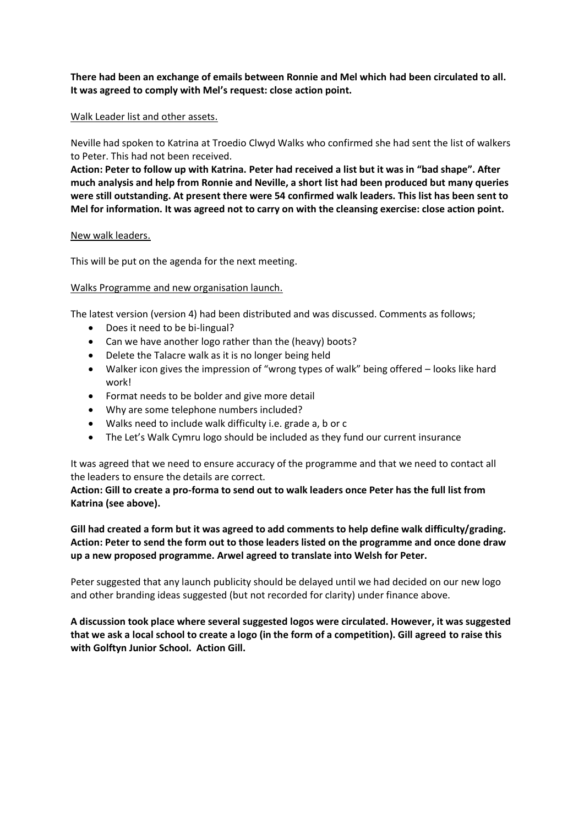**There had been an exchange of emails between Ronnie and Mel which had been circulated to all. It was agreed to comply with Mel's request: close action point.**

## Walk Leader list and other assets.

Neville had spoken to Katrina at Troedio Clwyd Walks who confirmed she had sent the list of walkers to Peter. This had not been received.

**Action: Peter to follow up with Katrina. Peter had received a list but it was in "bad shape". After much analysis and help from Ronnie and Neville, a short list had been produced but many queries were still outstanding. At present there were 54 confirmed walk leaders. This list has been sent to Mel for information. It was agreed not to carry on with the cleansing exercise: close action point.**

## New walk leaders.

This will be put on the agenda for the next meeting.

# Walks Programme and new organisation launch.

The latest version (version 4) had been distributed and was discussed. Comments as follows;

- Does it need to be bi-lingual?
- Can we have another logo rather than the (heavy) boots?
- Delete the Talacre walk as it is no longer being held
- Walker icon gives the impression of "wrong types of walk" being offered looks like hard work!
- Format needs to be bolder and give more detail
- Why are some telephone numbers included?
- Walks need to include walk difficulty i.e. grade a, b or c
- The Let's Walk Cymru logo should be included as they fund our current insurance

It was agreed that we need to ensure accuracy of the programme and that we need to contact all the leaders to ensure the details are correct.

**Action: Gill to create a pro-forma to send out to walk leaders once Peter has the full list from Katrina (see above).**

**Gill had created a form but it was agreed to add comments to help define walk difficulty/grading. Action: Peter to send the form out to those leaders listed on the programme and once done draw up a new proposed programme. Arwel agreed to translate into Welsh for Peter.**

Peter suggested that any launch publicity should be delayed until we had decided on our new logo and other branding ideas suggested (but not recorded for clarity) under finance above.

**A discussion took place where several suggested logos were circulated. However, it was suggested that we ask a local school to create a logo (in the form of a competition). Gill agreed to raise this with Golftyn Junior School. Action Gill.**